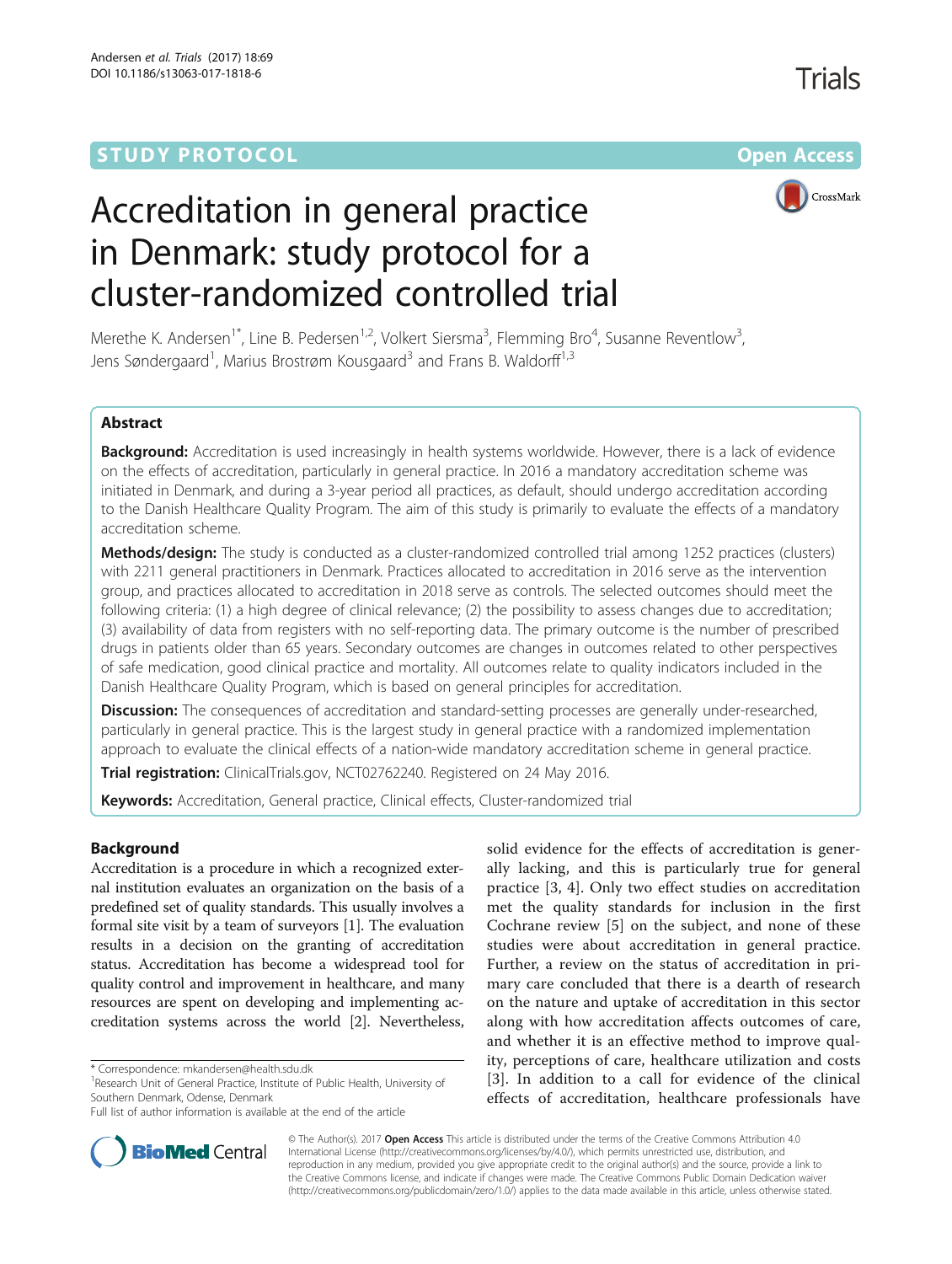## **STUDY PROTOCOL CONSUMING THE RESERVE ACCESS**



# Accreditation in general practice in Denmark: study protocol for a cluster-randomized controlled trial

Merethe K. Andersen<sup>1\*</sup>, Line B. Pedersen<sup>1,2</sup>, Volkert Siersma<sup>3</sup>, Flemming Bro<sup>4</sup>, Susanne Reventlow<sup>3</sup> , Jens Søndergaard<sup>1</sup>, Marius Brostrøm Kousgaard<sup>3</sup> and Frans B. Waldorff<sup>1,3</sup>

### Abstract

Background: Accreditation is used increasingly in health systems worldwide. However, there is a lack of evidence on the effects of accreditation, particularly in general practice. In 2016 a mandatory accreditation scheme was initiated in Denmark, and during a 3-year period all practices, as default, should undergo accreditation according to the Danish Healthcare Quality Program. The aim of this study is primarily to evaluate the effects of a mandatory accreditation scheme.

Methods/design: The study is conducted as a cluster-randomized controlled trial among 1252 practices (clusters) with 2211 general practitioners in Denmark. Practices allocated to accreditation in 2016 serve as the intervention group, and practices allocated to accreditation in 2018 serve as controls. The selected outcomes should meet the following criteria: (1) a high degree of clinical relevance; (2) the possibility to assess changes due to accreditation; (3) availability of data from registers with no self-reporting data. The primary outcome is the number of prescribed drugs in patients older than 65 years. Secondary outcomes are changes in outcomes related to other perspectives of safe medication, good clinical practice and mortality. All outcomes relate to quality indicators included in the Danish Healthcare Quality Program, which is based on general principles for accreditation.

**Discussion:** The consequences of accreditation and standard-setting processes are generally under-researched, particularly in general practice. This is the largest study in general practice with a randomized implementation approach to evaluate the clinical effects of a nation-wide mandatory accreditation scheme in general practice.

Trial registration: ClinicalTrials.gov, [NCT02762240.](https://clinicaltrials.gov/ct2/show/NCT02762240?term=NCT02762240&rank=1) Registered on 24 May 2016.

Keywords: Accreditation, General practice, Clinical effects, Cluster-randomized trial

#### Background

Accreditation is a procedure in which a recognized external institution evaluates an organization on the basis of a predefined set of quality standards. This usually involves a formal site visit by a team of surveyors [[1\]](#page-8-0). The evaluation results in a decision on the granting of accreditation status. Accreditation has become a widespread tool for quality control and improvement in healthcare, and many resources are spent on developing and implementing accreditation systems across the world [[2\]](#page-8-0). Nevertheless,

<sup>1</sup>Research Unit of General Practice, Institute of Public Health, University of Southern Denmark, Odense, Denmark

solid evidence for the effects of accreditation is generally lacking, and this is particularly true for general practice [\[3](#page-8-0), [4](#page-8-0)]. Only two effect studies on accreditation met the quality standards for inclusion in the first Cochrane review [[5\]](#page-8-0) on the subject, and none of these studies were about accreditation in general practice. Further, a review on the status of accreditation in primary care concluded that there is a dearth of research on the nature and uptake of accreditation in this sector along with how accreditation affects outcomes of care, and whether it is an effective method to improve quality, perceptions of care, healthcare utilization and costs [[3\]](#page-8-0). In addition to a call for evidence of the clinical effects of accreditation, healthcare professionals have



© The Author(s). 2017 **Open Access** This article is distributed under the terms of the Creative Commons Attribution 4.0 International License [\(http://creativecommons.org/licenses/by/4.0/](http://creativecommons.org/licenses/by/4.0/)), which permits unrestricted use, distribution, and reproduction in any medium, provided you give appropriate credit to the original author(s) and the source, provide a link to the Creative Commons license, and indicate if changes were made. The Creative Commons Public Domain Dedication waiver [\(http://creativecommons.org/publicdomain/zero/1.0/](http://creativecommons.org/publicdomain/zero/1.0/)) applies to the data made available in this article, unless otherwise stated.

<sup>\*</sup> Correspondence: [mkandersen@health.sdu.dk](mailto:mkandersen@health.sdu.dk) <sup>1</sup>

Full list of author information is available at the end of the article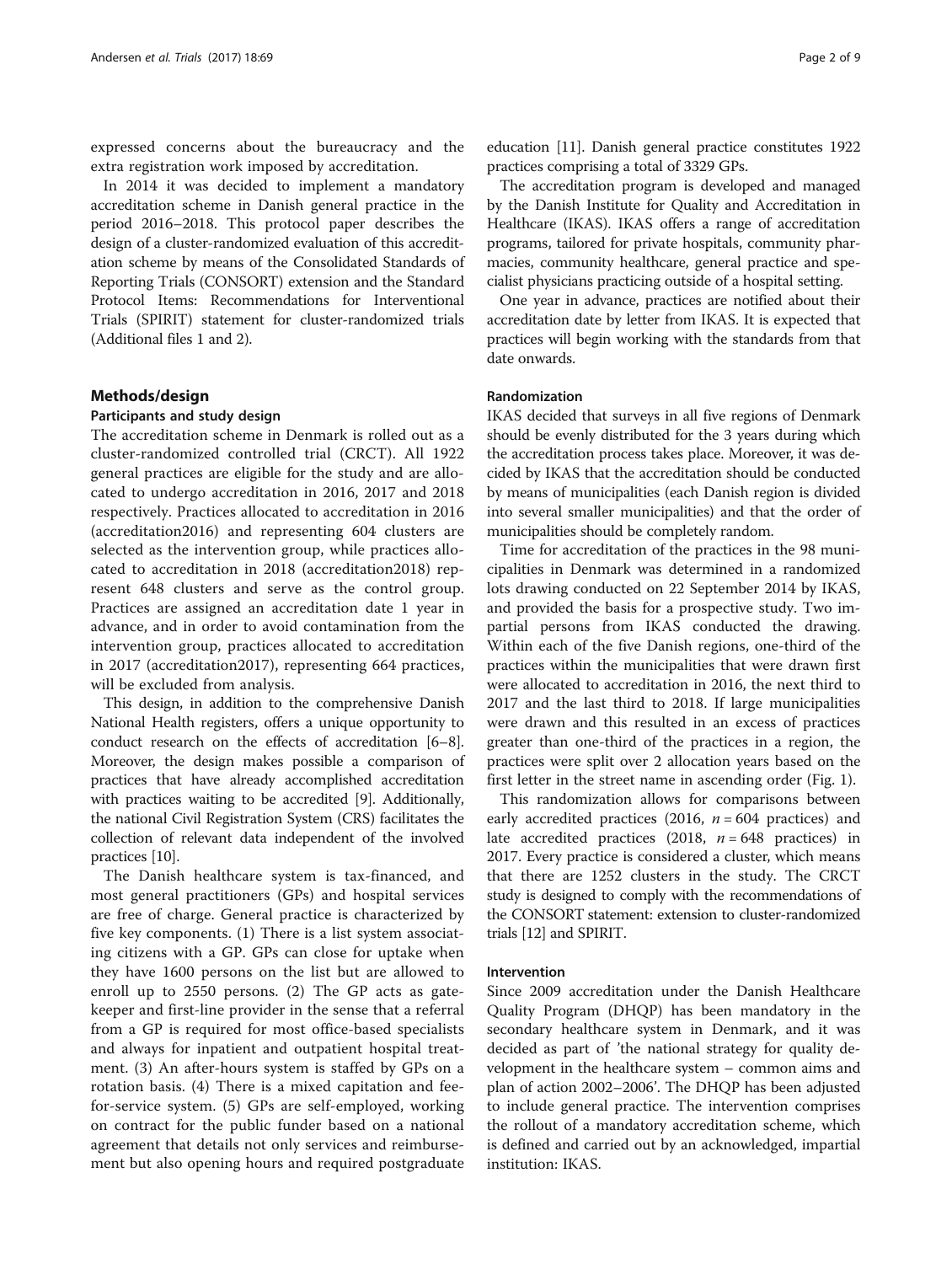expressed concerns about the bureaucracy and the extra registration work imposed by accreditation.

In 2014 it was decided to implement a mandatory accreditation scheme in Danish general practice in the period 2016–2018. This protocol paper describes the design of a cluster-randomized evaluation of this accreditation scheme by means of the Consolidated Standards of Reporting Trials (CONSORT) extension and the Standard Protocol Items: Recommendations for Interventional Trials (SPIRIT) statement for cluster-randomized trials (Additional files [1](#page-7-0) and [2\)](#page-7-0).

#### Methods/design

#### Participants and study design

The accreditation scheme in Denmark is rolled out as a cluster-randomized controlled trial (CRCT). All 1922 general practices are eligible for the study and are allocated to undergo accreditation in 2016, 2017 and 2018 respectively. Practices allocated to accreditation in 2016 (accreditation2016) and representing 604 clusters are selected as the intervention group, while practices allocated to accreditation in 2018 (accreditation2018) represent 648 clusters and serve as the control group. Practices are assigned an accreditation date 1 year in advance, and in order to avoid contamination from the intervention group, practices allocated to accreditation in 2017 (accreditation2017), representing 664 practices, will be excluded from analysis.

This design, in addition to the comprehensive Danish National Health registers, offers a unique opportunity to conduct research on the effects of accreditation [[6](#page-8-0)–[8](#page-8-0)]. Moreover, the design makes possible a comparison of practices that have already accomplished accreditation with practices waiting to be accredited [\[9](#page-8-0)]. Additionally, the national Civil Registration System (CRS) facilitates the collection of relevant data independent of the involved practices [[10](#page-8-0)].

The Danish healthcare system is tax-financed, and most general practitioners (GPs) and hospital services are free of charge. General practice is characterized by five key components. (1) There is a list system associating citizens with a GP. GPs can close for uptake when they have 1600 persons on the list but are allowed to enroll up to 2550 persons. (2) The GP acts as gatekeeper and first-line provider in the sense that a referral from a GP is required for most office-based specialists and always for inpatient and outpatient hospital treatment. (3) An after-hours system is staffed by GPs on a rotation basis. (4) There is a mixed capitation and feefor-service system. (5) GPs are self-employed, working on contract for the public funder based on a national agreement that details not only services and reimbursement but also opening hours and required postgraduate

education [\[11\]](#page-8-0). Danish general practice constitutes 1922 practices comprising a total of 3329 GPs.

The accreditation program is developed and managed by the Danish Institute for Quality and Accreditation in Healthcare (IKAS). IKAS offers a range of accreditation programs, tailored for private hospitals, community pharmacies, community healthcare, general practice and specialist physicians practicing outside of a hospital setting.

One year in advance, practices are notified about their accreditation date by letter from IKAS. It is expected that practices will begin working with the standards from that date onwards.

#### Randomization

IKAS decided that surveys in all five regions of Denmark should be evenly distributed for the 3 years during which the accreditation process takes place. Moreover, it was decided by IKAS that the accreditation should be conducted by means of municipalities (each Danish region is divided into several smaller municipalities) and that the order of municipalities should be completely random.

Time for accreditation of the practices in the 98 municipalities in Denmark was determined in a randomized lots drawing conducted on 22 September 2014 by IKAS, and provided the basis for a prospective study. Two impartial persons from IKAS conducted the drawing. Within each of the five Danish regions, one-third of the practices within the municipalities that were drawn first were allocated to accreditation in 2016, the next third to 2017 and the last third to 2018. If large municipalities were drawn and this resulted in an excess of practices greater than one-third of the practices in a region, the practices were split over 2 allocation years based on the first letter in the street name in ascending order (Fig. [1](#page-2-0)).

This randomization allows for comparisons between early accredited practices (2016,  $n = 604$  practices) and late accredited practices (2018,  $n = 648$  practices) in 2017. Every practice is considered a cluster, which means that there are 1252 clusters in the study. The CRCT study is designed to comply with the recommendations of the CONSORT statement: extension to cluster-randomized trials [\[12\]](#page-8-0) and SPIRIT.

#### Intervention

Since 2009 accreditation under the Danish Healthcare Quality Program (DHQP) has been mandatory in the secondary healthcare system in Denmark, and it was decided as part of 'the national strategy for quality development in the healthcare system – common aims and plan of action 2002–2006'. The DHQP has been adjusted to include general practice. The intervention comprises the rollout of a mandatory accreditation scheme, which is defined and carried out by an acknowledged, impartial institution: IKAS.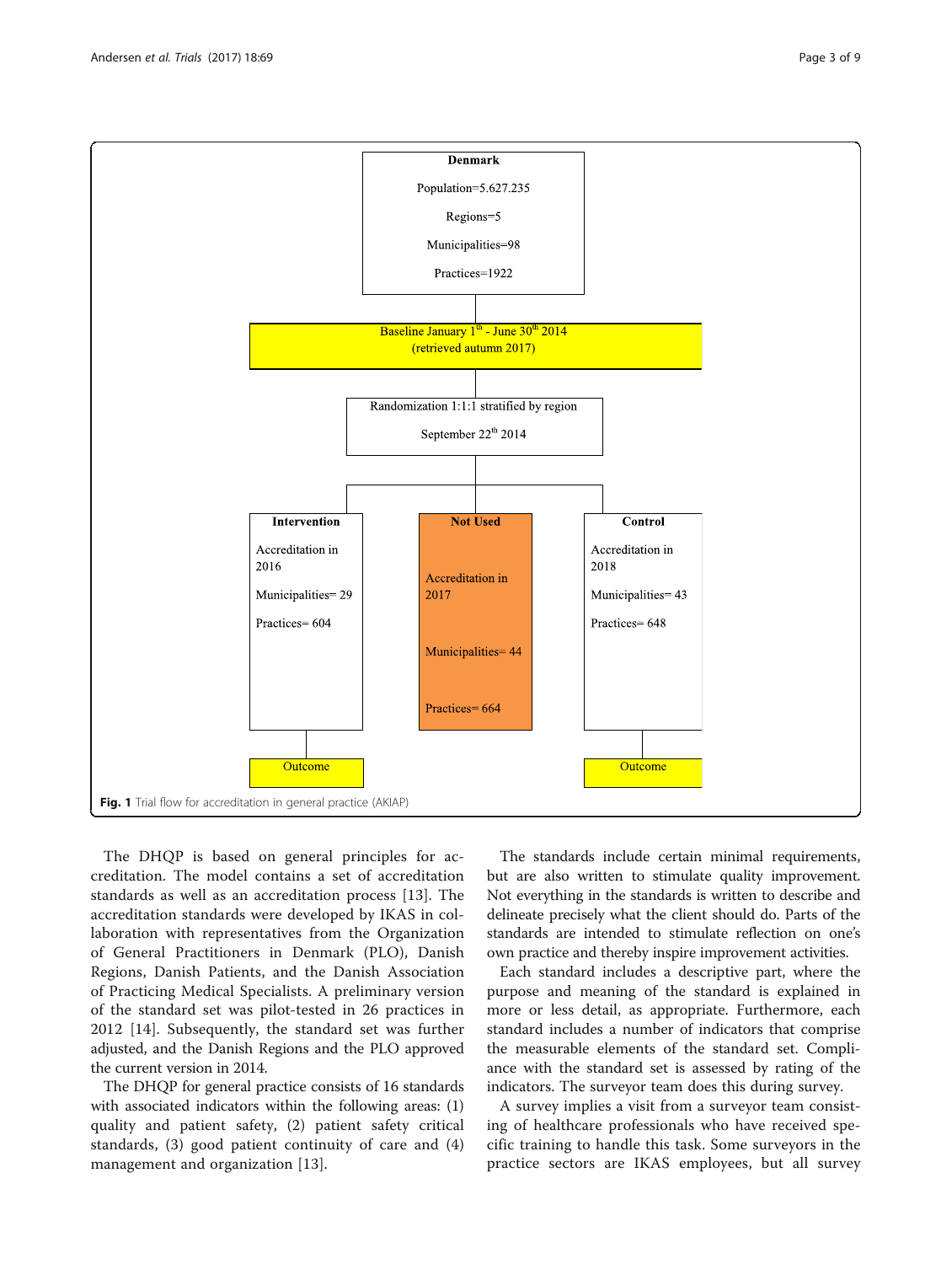<span id="page-2-0"></span>

The DHQP is based on general principles for accreditation. The model contains a set of accreditation standards as well as an accreditation process [[13\]](#page-8-0). The accreditation standards were developed by IKAS in collaboration with representatives from the Organization of General Practitioners in Denmark (PLO), Danish Regions, Danish Patients, and the Danish Association of Practicing Medical Specialists. A preliminary version of the standard set was pilot-tested in 26 practices in 2012 [[14\]](#page-8-0). Subsequently, the standard set was further adjusted, and the Danish Regions and the PLO approved the current version in 2014.

The DHQP for general practice consists of 16 standards with associated indicators within the following areas: (1) quality and patient safety, (2) patient safety critical standards, (3) good patient continuity of care and (4) management and organization [[13\]](#page-8-0).

The standards include certain minimal requirements, but are also written to stimulate quality improvement. Not everything in the standards is written to describe and delineate precisely what the client should do. Parts of the standards are intended to stimulate reflection on one's own practice and thereby inspire improvement activities.

Each standard includes a descriptive part, where the purpose and meaning of the standard is explained in more or less detail, as appropriate. Furthermore, each standard includes a number of indicators that comprise the measurable elements of the standard set. Compliance with the standard set is assessed by rating of the indicators. The surveyor team does this during survey.

A survey implies a visit from a surveyor team consisting of healthcare professionals who have received specific training to handle this task. Some surveyors in the practice sectors are IKAS employees, but all survey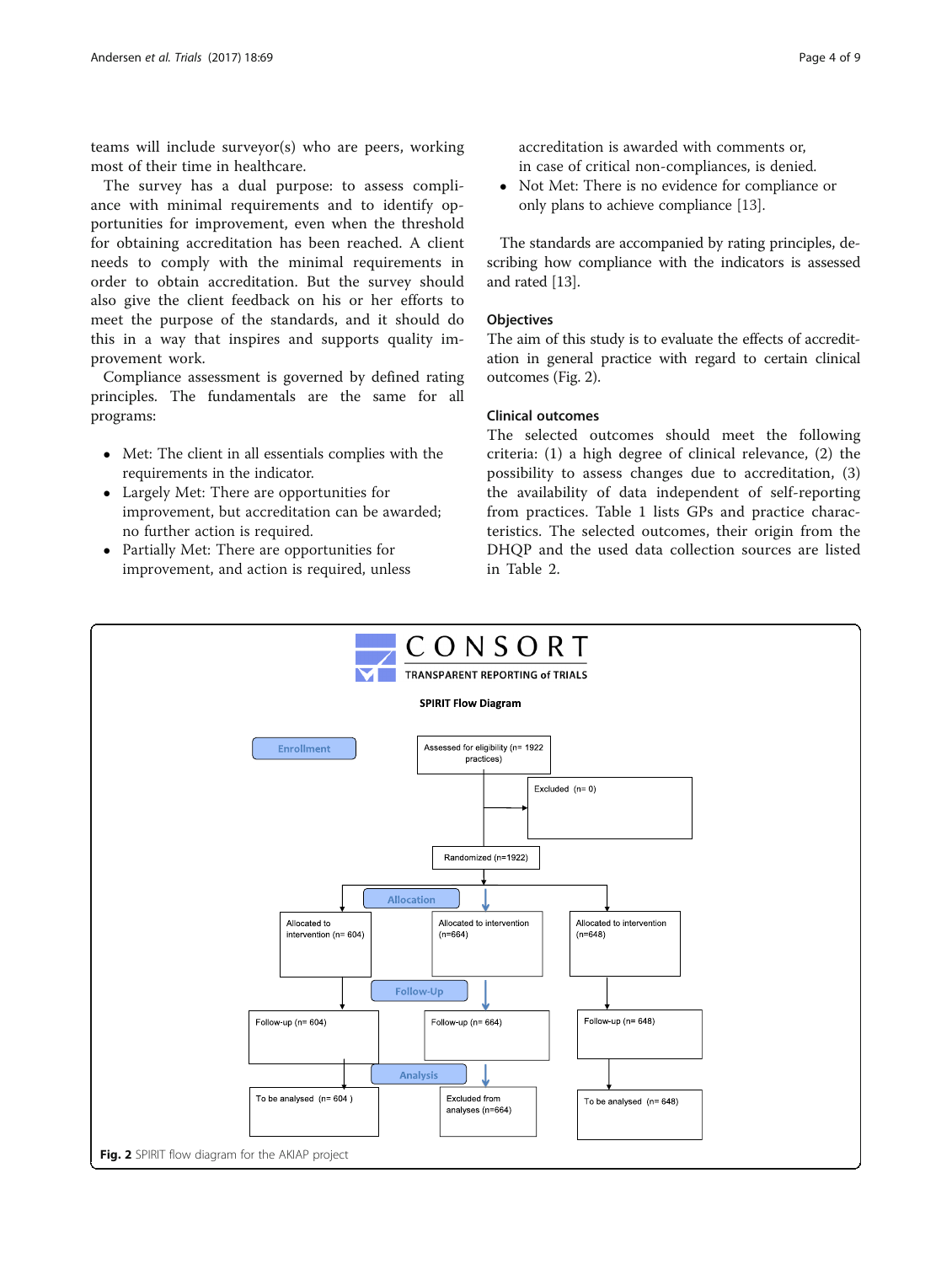teams will include surveyor(s) who are peers, working most of their time in healthcare.

The survey has a dual purpose: to assess compliance with minimal requirements and to identify opportunities for improvement, even when the threshold for obtaining accreditation has been reached. A client needs to comply with the minimal requirements in order to obtain accreditation. But the survey should also give the client feedback on his or her efforts to meet the purpose of the standards, and it should do this in a way that inspires and supports quality improvement work.

Compliance assessment is governed by defined rating principles. The fundamentals are the same for all programs:

- Met: The client in all essentials complies with the requirements in the indicator.
- Largely Met: There are opportunities for improvement, but accreditation can be awarded; no further action is required.
- Partially Met: There are opportunities for improvement, and action is required, unless

accreditation is awarded with comments or, in case of critical non-compliances, is denied.

 Not Met: There is no evidence for compliance or only plans to achieve compliance [\[13\]](#page-8-0).

The standards are accompanied by rating principles, describing how compliance with the indicators is assessed and rated [\[13\]](#page-8-0).

#### **Objectives**

The aim of this study is to evaluate the effects of accreditation in general practice with regard to certain clinical outcomes (Fig. 2).

#### Clinical outcomes

The selected outcomes should meet the following criteria: (1) a high degree of clinical relevance, (2) the possibility to assess changes due to accreditation, (3) the availability of data independent of self-reporting from practices. Table [1](#page-4-0) lists GPs and practice characteristics. The selected outcomes, their origin from the DHQP and the used data collection sources are listed in Table [2](#page-5-0).

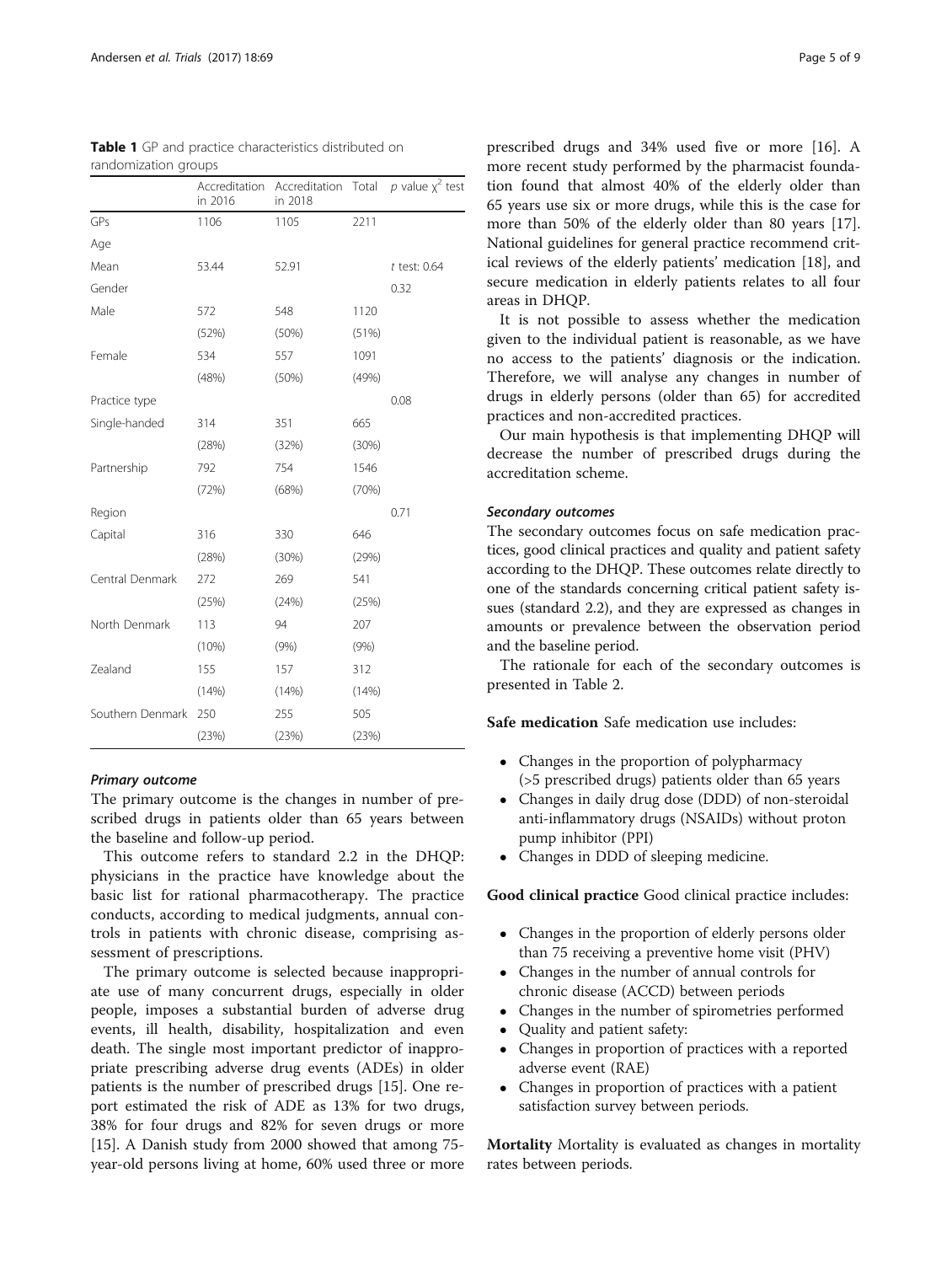|                  | Accreditation<br>in 2016 | Accreditation<br>in 2018 | Total | $p$ value $\chi^2$ test |
|------------------|--------------------------|--------------------------|-------|-------------------------|
| GPs              | 1106                     | 1105                     | 2211  |                         |
| Age              |                          |                          |       |                         |
| Mean             | 53.44                    | 52.91                    |       | $t$ test: 0.64          |
| Gender           |                          |                          |       | 0.32                    |
| Male             | 572                      | 548                      | 1120  |                         |
|                  | (52%)                    | (50%)                    | (51%) |                         |
| Female           | 534                      | 557                      | 1091  |                         |
|                  | (48%)                    | (50%)                    | (49%) |                         |
| Practice type    |                          |                          |       | 0.08                    |
| Single-handed    | 314                      | 351                      | 665   |                         |
|                  | (28%)                    | (32%)                    | (30%) |                         |
| Partnership      | 792                      | 754                      | 1546  |                         |
|                  | (72%)                    | (68%)                    | (70%) |                         |
| Region           |                          |                          |       | 0.71                    |
| Capital          | 316                      | 330                      | 646   |                         |
|                  | (28%)                    | (30%)                    | (29%) |                         |
| Central Denmark  | 272                      | 269                      | 541   |                         |
|                  | (25%)                    | (24%)                    | (25%) |                         |
| North Denmark    | 113                      | 94                       | 207   |                         |
|                  | (10%)                    | (9% )                    | (9% ) |                         |
| Zealand          | 155                      | 157                      | 312   |                         |
|                  | (14%)                    | (14%)                    | (14%) |                         |
| Southern Denmark | 250                      | 255                      | 505   |                         |
|                  | (23%)                    | (23%)                    | (23%) |                         |

<span id="page-4-0"></span>Table 1 GP and practice characteristics distributed on randomization groups

#### Primary outcome

The primary outcome is the changes in number of prescribed drugs in patients older than 65 years between the baseline and follow-up period.

This outcome refers to standard 2.2 in the DHQP: physicians in the practice have knowledge about the basic list for rational pharmacotherapy. The practice conducts, according to medical judgments, annual controls in patients with chronic disease, comprising assessment of prescriptions.

The primary outcome is selected because inappropriate use of many concurrent drugs, especially in older people, imposes a substantial burden of adverse drug events, ill health, disability, hospitalization and even death. The single most important predictor of inappropriate prescribing adverse drug events (ADEs) in older patients is the number of prescribed drugs [[15](#page-8-0)]. One report estimated the risk of ADE as 13% for two drugs, 38% for four drugs and 82% for seven drugs or more [[15\]](#page-8-0). A Danish study from 2000 showed that among 75 year-old persons living at home, 60% used three or more

prescribed drugs and 34% used five or more [\[16\]](#page-8-0). A more recent study performed by the pharmacist foundation found that almost 40% of the elderly older than 65 years use six or more drugs, while this is the case for more than 50% of the elderly older than 80 years [\[17](#page-8-0)]. National guidelines for general practice recommend critical reviews of the elderly patients' medication [[18\]](#page-8-0), and secure medication in elderly patients relates to all four areas in DHQP.

It is not possible to assess whether the medication given to the individual patient is reasonable, as we have no access to the patients' diagnosis or the indication. Therefore, we will analyse any changes in number of drugs in elderly persons (older than 65) for accredited practices and non-accredited practices.

Our main hypothesis is that implementing DHQP will decrease the number of prescribed drugs during the accreditation scheme.

#### Secondary outcomes

The secondary outcomes focus on safe medication practices, good clinical practices and quality and patient safety according to the DHQP. These outcomes relate directly to one of the standards concerning critical patient safety issues (standard 2.2), and they are expressed as changes in amounts or prevalence between the observation period and the baseline period.

The rationale for each of the secondary outcomes is presented in Table [2](#page-5-0).

Safe medication Safe medication use includes:

- Changes in the proportion of polypharmacy (>5 prescribed drugs) patients older than 65 years
- Changes in daily drug dose (DDD) of non-steroidal anti-inflammatory drugs (NSAIDs) without proton pump inhibitor (PPI)
- Changes in DDD of sleeping medicine.

Good clinical practice Good clinical practice includes:

- Changes in the proportion of elderly persons older than 75 receiving a preventive home visit (PHV)
- Changes in the number of annual controls for chronic disease (ACCD) between periods
- Changes in the number of spirometries performed
- Quality and patient safety:
- Changes in proportion of practices with a reported adverse event (RAE)
- Changes in proportion of practices with a patient satisfaction survey between periods.

**Mortality** Mortality is evaluated as changes in mortality rates between periods.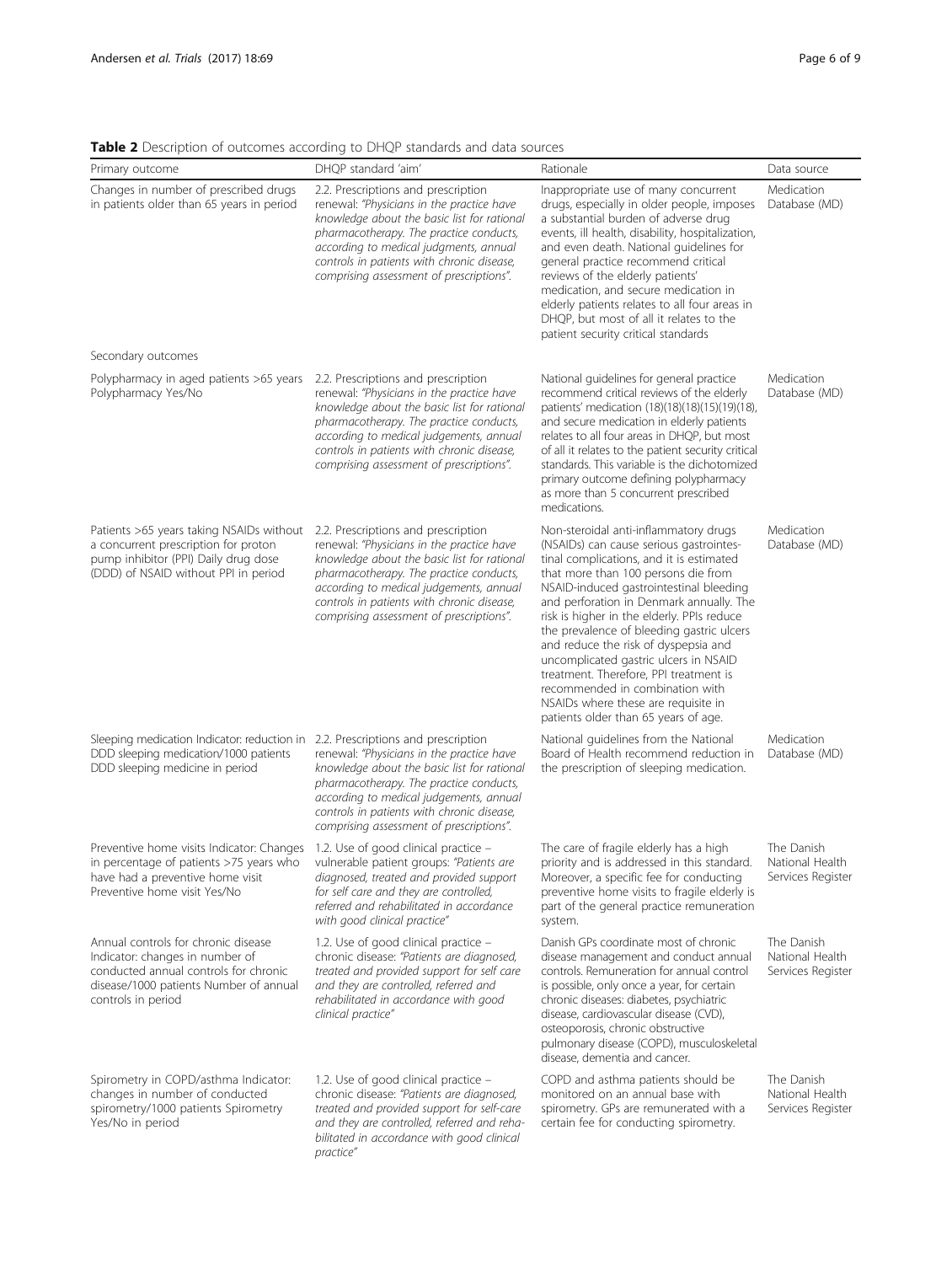<span id="page-5-0"></span>Table 2 Description of outcomes according to DHQP standards and data sources

| Primary outcome                                                                                                                                                                                                                        | DHQP standard 'aim'                                                                                                                                                                                                                                                                                             | Rationale                                                                                                                                                                                                                                                                                                                                                                                                                                                                                                                                                                                          | Data source                                        |
|----------------------------------------------------------------------------------------------------------------------------------------------------------------------------------------------------------------------------------------|-----------------------------------------------------------------------------------------------------------------------------------------------------------------------------------------------------------------------------------------------------------------------------------------------------------------|----------------------------------------------------------------------------------------------------------------------------------------------------------------------------------------------------------------------------------------------------------------------------------------------------------------------------------------------------------------------------------------------------------------------------------------------------------------------------------------------------------------------------------------------------------------------------------------------------|----------------------------------------------------|
| Changes in number of prescribed drugs<br>in patients older than 65 years in period                                                                                                                                                     | 2.2. Prescriptions and prescription<br>renewal: "Physicians in the practice have<br>knowledge about the basic list for rational<br>pharmacotherapy. The practice conducts,<br>according to medical judgments, annual<br>controls in patients with chronic disease,<br>comprising assessment of prescriptions".  | Inappropriate use of many concurrent<br>drugs, especially in older people, imposes<br>a substantial burden of adverse drug<br>events, ill health, disability, hospitalization,<br>and even death. National guidelines for<br>general practice recommend critical<br>reviews of the elderly patients'<br>medication, and secure medication in<br>elderly patients relates to all four areas in<br>DHQP, but most of all it relates to the<br>patient security critical standards                                                                                                                    | Medication<br>Database (MD)                        |
| Secondary outcomes                                                                                                                                                                                                                     |                                                                                                                                                                                                                                                                                                                 |                                                                                                                                                                                                                                                                                                                                                                                                                                                                                                                                                                                                    |                                                    |
| Polypharmacy in aged patients >65 years<br>Polypharmacy Yes/No                                                                                                                                                                         | 2.2. Prescriptions and prescription<br>renewal: "Physicians in the practice have<br>knowledge about the basic list for rational<br>pharmacotherapy. The practice conducts,<br>according to medical judgements, annual<br>controls in patients with chronic disease,<br>comprising assessment of prescriptions". | National guidelines for general practice<br>recommend critical reviews of the elderly<br>patients' medication (18)(18)(18)(15)(19)(18),<br>and secure medication in elderly patients<br>relates to all four areas in DHQP, but most<br>of all it relates to the patient security critical<br>standards. This variable is the dichotomized<br>primary outcome defining polypharmacy<br>as more than 5 concurrent prescribed<br>medications.                                                                                                                                                         | Medication<br>Database (MD)                        |
| Patients >65 years taking NSAIDs without<br>a concurrent prescription for proton<br>pump inhibitor (PPI) Daily drug dose<br>(DDD) of NSAID without PPI in period                                                                       | 2.2. Prescriptions and prescription<br>renewal: "Physicians in the practice have<br>knowledge about the basic list for rational<br>pharmacotherapy. The practice conducts,<br>according to medical judgements, annual<br>controls in patients with chronic disease,<br>comprising assessment of prescriptions". | Non-steroidal anti-inflammatory drugs<br>(NSAIDs) can cause serious gastrointes-<br>tinal complications, and it is estimated<br>that more than 100 persons die from<br>NSAID-induced gastrointestinal bleeding<br>and perforation in Denmark annually. The<br>risk is higher in the elderly. PPIs reduce<br>the prevalence of bleeding gastric ulcers<br>and reduce the risk of dyspepsia and<br>uncomplicated gastric ulcers in NSAID<br>treatment. Therefore, PPI treatment is<br>recommended in combination with<br>NSAIDs where these are requisite in<br>patients older than 65 years of age. | Medication<br>Database (MD)                        |
| Sleeping medication Indicator: reduction in 2.2. Prescriptions and prescription<br>DDD sleeping medication/1000 patients<br>DDD sleeping medicine in period                                                                            | renewal: "Physicians in the practice have<br>knowledge about the basic list for rational<br>pharmacotherapy. The practice conducts,<br>according to medical judgements, annual<br>controls in patients with chronic disease,<br>comprising assessment of prescriptions".                                        | National guidelines from the National<br>Board of Health recommend reduction in<br>the prescription of sleeping medication.                                                                                                                                                                                                                                                                                                                                                                                                                                                                        | Medication<br>Database (MD)                        |
| Preventive home visits Indicator: Changes 1.2. Use of good clinical practice -<br>in percentage of patients >75 years who vulnerable patient groups: "Patients are<br>have had a preventive home visit<br>Preventive home visit Yes/No | diagnosed, treated and provided support<br>for self care and they are controlled,<br>referred and rehabilitated in accordance<br>with good clinical practice"                                                                                                                                                   | The care of fragile elderly has a high<br>priority and is addressed in this standard.<br>Moreover, a specific fee for conducting<br>preventive home visits to fragile elderly is<br>part of the general practice remuneration<br>system.                                                                                                                                                                                                                                                                                                                                                           | The Danish<br>National Health<br>Services Register |
| Annual controls for chronic disease<br>Indicator: changes in number of<br>conducted annual controls for chronic<br>disease/1000 patients Number of annual<br>controls in period                                                        | 1.2. Use of good clinical practice –<br>chronic disease: "Patients are diagnosed,<br>treated and provided support for self care<br>and they are controlled, referred and<br>rehabilitated in accordance with good<br>clinical practice"                                                                         | Danish GPs coordinate most of chronic<br>disease management and conduct annual<br>controls. Remuneration for annual control<br>is possible, only once a year, for certain<br>chronic diseases: diabetes, psychiatric<br>disease, cardiovascular disease (CVD),<br>osteoporosis, chronic obstructive<br>pulmonary disease (COPD), musculoskeletal<br>disease, dementia and cancer.                                                                                                                                                                                                                  | The Danish<br>National Health<br>Services Register |
| Spirometry in COPD/asthma Indicator:<br>changes in number of conducted<br>spirometry/1000 patients Spirometry<br>Yes/No in period                                                                                                      | 1.2. Use of good clinical practice -<br>chronic disease: "Patients are diagnosed,<br>treated and provided support for self-care<br>and they are controlled, referred and reha-<br>bilitated in accordance with good clinical<br>practice"                                                                       | COPD and asthma patients should be<br>monitored on an annual base with<br>spirometry. GPs are remunerated with a<br>certain fee for conducting spirometry.                                                                                                                                                                                                                                                                                                                                                                                                                                         | The Danish<br>National Health<br>Services Register |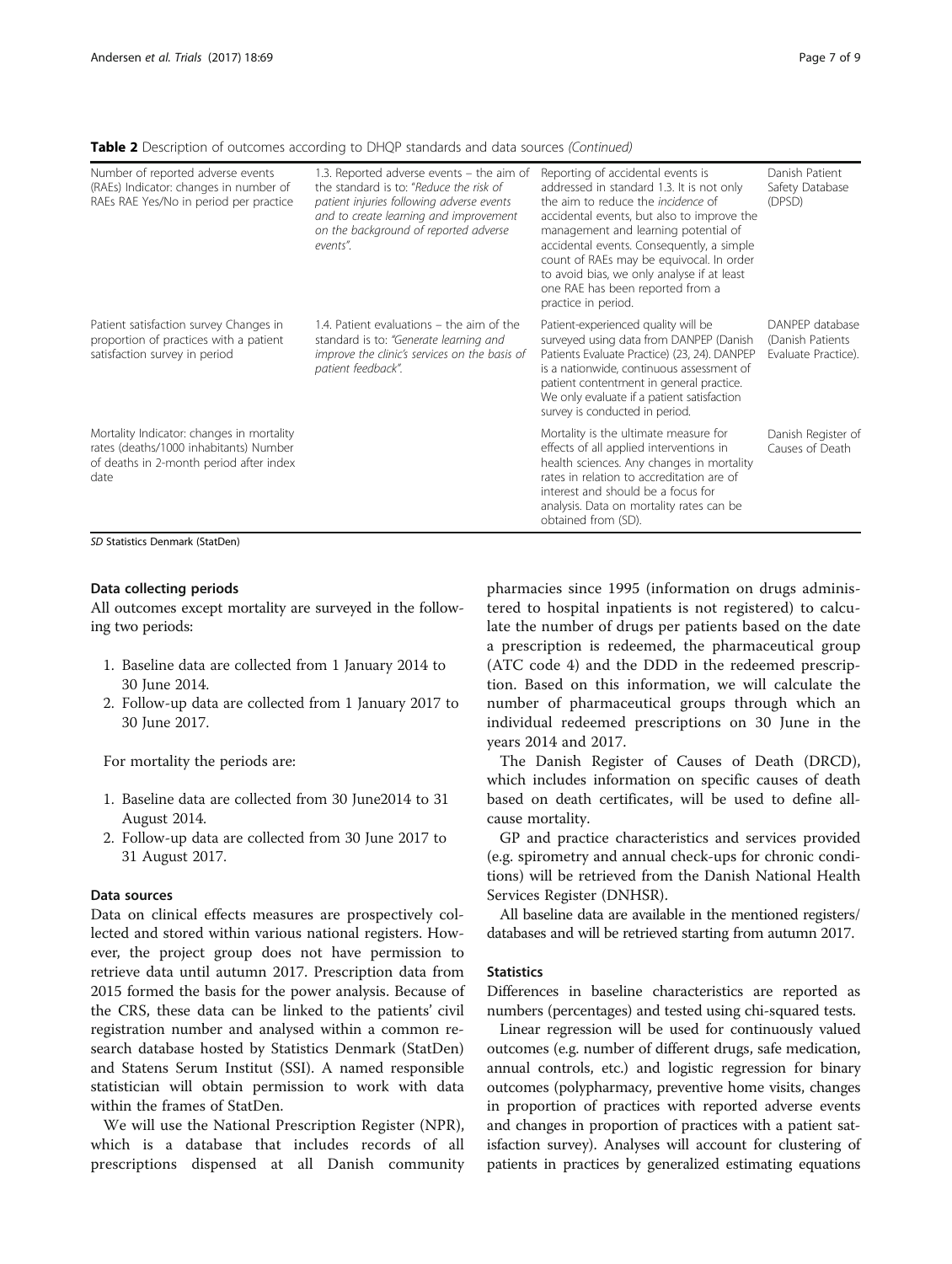| <b>Table 2</b> Description of outcomes according to DHQP standards and data sources (Continued) |  |  |  |
|-------------------------------------------------------------------------------------------------|--|--|--|
|-------------------------------------------------------------------------------------------------|--|--|--|

| Number of reported adverse events<br>(RAEs) Indicator: changes in number of<br>RAEs RAE Yes/No in period per practice                  | 1.3. Reported adverse events – the aim of<br>the standard is to: "Reduce the risk of<br>patient injuries following adverse events<br>and to create learning and improvement<br>on the background of reported adverse<br>events". | Reporting of accidental events is<br>addressed in standard 1.3. It is not only<br>the aim to reduce the <i>incidence</i> of<br>accidental events, but also to improve the<br>management and learning potential of<br>accidental events. Consequently, a simple<br>count of RAEs may be equivocal. In order<br>to avoid bias, we only analyse if at least<br>one RAE has been reported from a<br>practice in period. | Danish Patient<br>Safety Database<br>(DPSD)                |
|----------------------------------------------------------------------------------------------------------------------------------------|----------------------------------------------------------------------------------------------------------------------------------------------------------------------------------------------------------------------------------|---------------------------------------------------------------------------------------------------------------------------------------------------------------------------------------------------------------------------------------------------------------------------------------------------------------------------------------------------------------------------------------------------------------------|------------------------------------------------------------|
| Patient satisfaction survey Changes in<br>proportion of practices with a patient<br>satisfaction survey in period                      | 1.4. Patient evaluations – the aim of the<br>standard is to: "Generate learning and<br>improve the clinic's services on the basis of<br>patient feedback".                                                                       | Patient-experienced quality will be<br>surveyed using data from DANPEP (Danish<br>Patients Evaluate Practice) (23, 24). DANPEP<br>is a nationwide, continuous assessment of<br>patient contentment in general practice.<br>We only evaluate if a patient satisfaction<br>survey is conducted in period.                                                                                                             | DANPEP database<br>(Danish Patients<br>Evaluate Practice). |
| Mortality Indicator: changes in mortality<br>rates (deaths/1000 inhabitants) Number<br>of deaths in 2-month period after index<br>date |                                                                                                                                                                                                                                  | Mortality is the ultimate measure for<br>effects of all applied interventions in<br>health sciences. Any changes in mortality<br>rates in relation to accreditation are of<br>interest and should be a focus for<br>analysis. Data on mortality rates can be<br>obtained from (SD).                                                                                                                                 | Danish Register of<br>Causes of Death                      |

SD Statistics Denmark (StatDen)

#### Data collecting periods

All outcomes except mortality are surveyed in the following two periods:

- 1. Baseline data are collected from 1 January 2014 to 30 June 2014.
- 2. Follow-up data are collected from 1 January 2017 to 30 June 2017.

For mortality the periods are:

- 1. Baseline data are collected from 30 June2014 to 31 August 2014.
- 2. Follow-up data are collected from 30 June 2017 to 31 August 2017.

#### Data sources

Data on clinical effects measures are prospectively collected and stored within various national registers. However, the project group does not have permission to retrieve data until autumn 2017. Prescription data from 2015 formed the basis for the power analysis. Because of the CRS, these data can be linked to the patients' civil registration number and analysed within a common research database hosted by Statistics Denmark (StatDen) and Statens Serum Institut (SSI). A named responsible statistician will obtain permission to work with data within the frames of StatDen.

We will use the National Prescription Register (NPR), which is a database that includes records of all prescriptions dispensed at all Danish community

pharmacies since 1995 (information on drugs administered to hospital inpatients is not registered) to calculate the number of drugs per patients based on the date a prescription is redeemed, the pharmaceutical group (ATC code 4) and the DDD in the redeemed prescription. Based on this information, we will calculate the number of pharmaceutical groups through which an individual redeemed prescriptions on 30 June in the years 2014 and 2017.

The Danish Register of Causes of Death (DRCD), which includes information on specific causes of death based on death certificates, will be used to define allcause mortality.

GP and practice characteristics and services provided (e.g. spirometry and annual check-ups for chronic conditions) will be retrieved from the Danish National Health Services Register (DNHSR).

All baseline data are available in the mentioned registers/ databases and will be retrieved starting from autumn 2017.

#### **Statistics**

Differences in baseline characteristics are reported as numbers (percentages) and tested using chi-squared tests.

Linear regression will be used for continuously valued outcomes (e.g. number of different drugs, safe medication, annual controls, etc.) and logistic regression for binary outcomes (polypharmacy, preventive home visits, changes in proportion of practices with reported adverse events and changes in proportion of practices with a patient satisfaction survey). Analyses will account for clustering of patients in practices by generalized estimating equations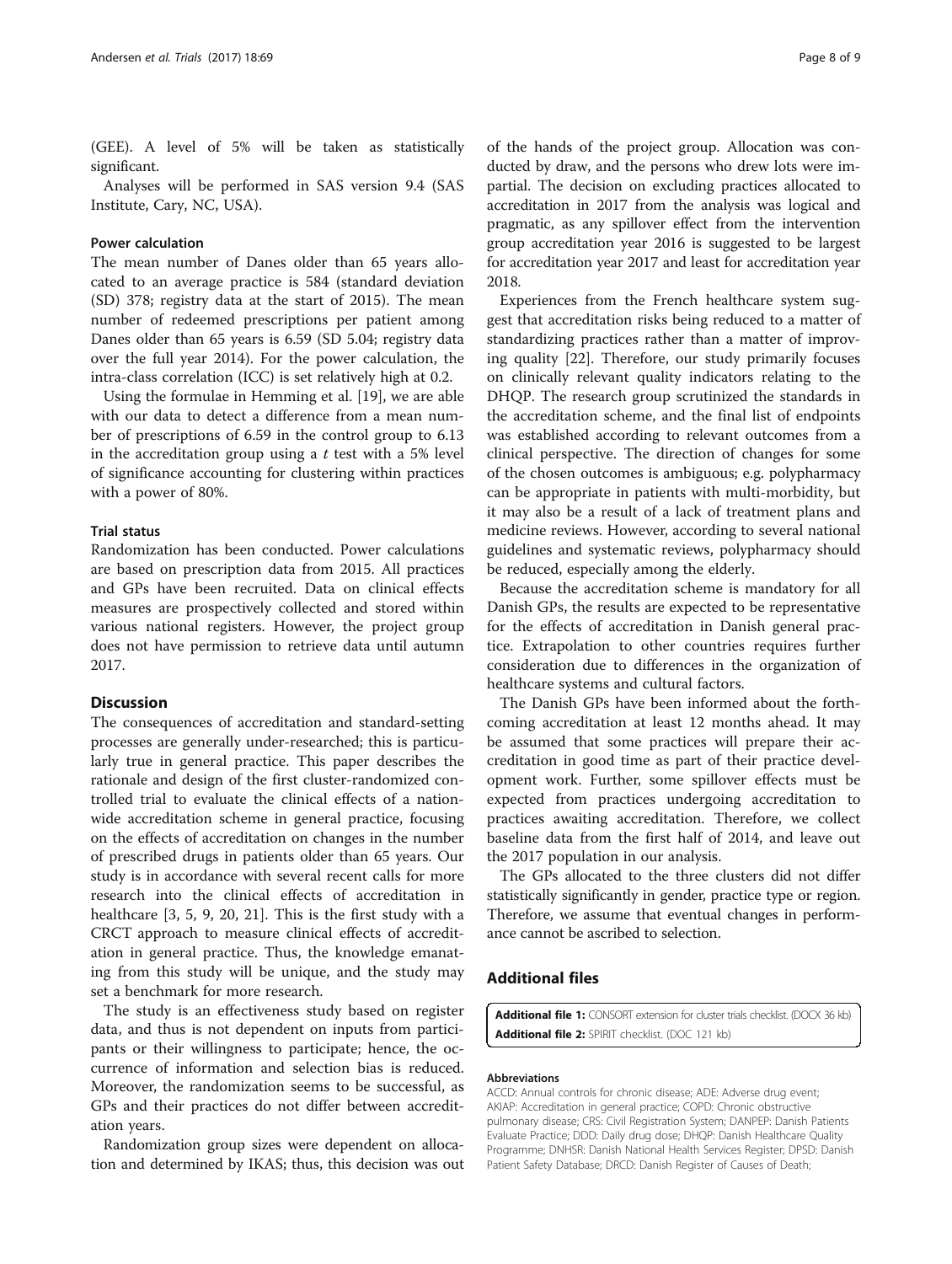<span id="page-7-0"></span>(GEE). A level of 5% will be taken as statistically significant.

Analyses will be performed in SAS version 9.4 (SAS Institute, Cary, NC, USA).

#### Power calculation

The mean number of Danes older than 65 years allocated to an average practice is 584 (standard deviation (SD) 378; registry data at the start of 2015). The mean number of redeemed prescriptions per patient among Danes older than 65 years is 6.59 (SD 5.04; registry data over the full year 2014). For the power calculation, the intra-class correlation (ICC) is set relatively high at 0.2.

Using the formulae in Hemming et al. [[19](#page-8-0)], we are able with our data to detect a difference from a mean number of prescriptions of 6.59 in the control group to 6.13 in the accreditation group using a  $t$  test with a 5% level of significance accounting for clustering within practices with a power of 80%.

#### Trial status

Randomization has been conducted. Power calculations are based on prescription data from 2015. All practices and GPs have been recruited. Data on clinical effects measures are prospectively collected and stored within various national registers. However, the project group does not have permission to retrieve data until autumn 2017.

#### **Discussion**

The consequences of accreditation and standard-setting processes are generally under-researched; this is particularly true in general practice. This paper describes the rationale and design of the first cluster-randomized controlled trial to evaluate the clinical effects of a nationwide accreditation scheme in general practice, focusing on the effects of accreditation on changes in the number of prescribed drugs in patients older than 65 years. Our study is in accordance with several recent calls for more research into the clinical effects of accreditation in healthcare [\[3](#page-8-0), [5, 9, 20](#page-8-0), [21\]](#page-8-0). This is the first study with a CRCT approach to measure clinical effects of accreditation in general practice. Thus, the knowledge emanating from this study will be unique, and the study may set a benchmark for more research.

The study is an effectiveness study based on register data, and thus is not dependent on inputs from participants or their willingness to participate; hence, the occurrence of information and selection bias is reduced. Moreover, the randomization seems to be successful, as GPs and their practices do not differ between accreditation years.

Randomization group sizes were dependent on allocation and determined by IKAS; thus, this decision was out

of the hands of the project group. Allocation was conducted by draw, and the persons who drew lots were impartial. The decision on excluding practices allocated to accreditation in 2017 from the analysis was logical and pragmatic, as any spillover effect from the intervention group accreditation year 2016 is suggested to be largest for accreditation year 2017 and least for accreditation year 2018.

Experiences from the French healthcare system suggest that accreditation risks being reduced to a matter of standardizing practices rather than a matter of improving quality [[22\]](#page-8-0). Therefore, our study primarily focuses on clinically relevant quality indicators relating to the DHQP. The research group scrutinized the standards in the accreditation scheme, and the final list of endpoints was established according to relevant outcomes from a clinical perspective. The direction of changes for some of the chosen outcomes is ambiguous; e.g. polypharmacy can be appropriate in patients with multi-morbidity, but it may also be a result of a lack of treatment plans and medicine reviews. However, according to several national guidelines and systematic reviews, polypharmacy should be reduced, especially among the elderly.

Because the accreditation scheme is mandatory for all Danish GPs, the results are expected to be representative for the effects of accreditation in Danish general practice. Extrapolation to other countries requires further consideration due to differences in the organization of healthcare systems and cultural factors.

The Danish GPs have been informed about the forthcoming accreditation at least 12 months ahead. It may be assumed that some practices will prepare their accreditation in good time as part of their practice development work. Further, some spillover effects must be expected from practices undergoing accreditation to practices awaiting accreditation. Therefore, we collect baseline data from the first half of 2014, and leave out the 2017 population in our analysis.

The GPs allocated to the three clusters did not differ statistically significantly in gender, practice type or region. Therefore, we assume that eventual changes in performance cannot be ascribed to selection.

#### Additional files

[Additional file 1:](dx.doi.org/10.1186/s13063-017-1818-6) CONSORT extension for cluster trials checklist. (DOCX 36 kb) [Additional file 2:](dx.doi.org/10.1186/s13063-017-1818-6) SPIRIT checklist. (DOC 121 kb)

#### Abbreviations

ACCD: Annual controls for chronic disease; ADE: Adverse drug event; AKIAP: Accreditation in general practice; COPD: Chronic obstructive pulmonary disease; CRS: Civil Registration System; DANPEP: Danish Patients Evaluate Practice; DDD: Daily drug dose; DHQP: Danish Healthcare Quality Programme; DNHSR: Danish National Health Services Register; DPSD: Danish Patient Safety Database; DRCD: Danish Register of Causes of Death;